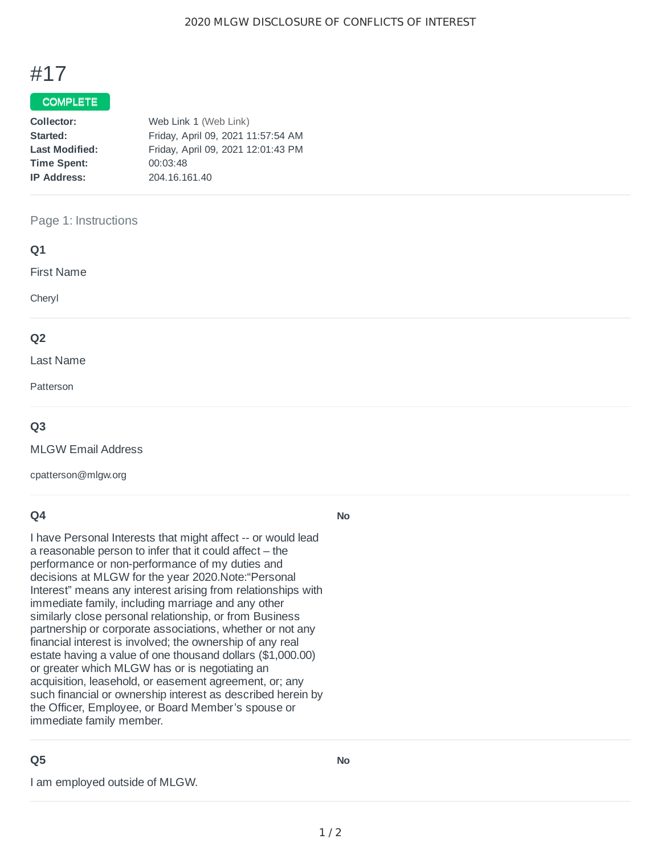# #17

### COMPLETE

| Web Link 1 (Web Link)              |  |
|------------------------------------|--|
| Friday, April 09, 2021 11:57:54 AM |  |
| Friday, April 09, 2021 12:01:43 PM |  |
| 00:03:48                           |  |
| 204.16.161.40                      |  |
|                                    |  |

#### Page 1: Instructions

| Q1                |  |  |  |
|-------------------|--|--|--|
| <b>First Name</b> |  |  |  |
| Cheryl            |  |  |  |
| Q <sub>2</sub>    |  |  |  |
|                   |  |  |  |
| Last Name         |  |  |  |
| Patterson         |  |  |  |

#### **Q3**

MLGW Email Address

cpatterson@mlgw.org

#### **Q4**

I have Personal Interests that might affect -- or would lead a reasonable person to infer that it could affect – the performance or non-performance of my duties and decisions at MLGW for the year 2020.Note:"Personal Interest" means any interest arising from relationships with immediate family, including marriage and any other similarly close personal relationship, or from Business partnership or corporate associations, whether or not any financial interest is involved; the ownership of any real estate having a value of one thousand dollars (\$1,000.00) or greater which MLGW has or is negotiating an acquisition, leasehold, or easement agreement, or; any such financial or ownership interest as described herein by the Officer, Employee, or Board Member's spouse or immediate family member.

## **Q5**

I am employed outside of MLGW.

**No**

**No**